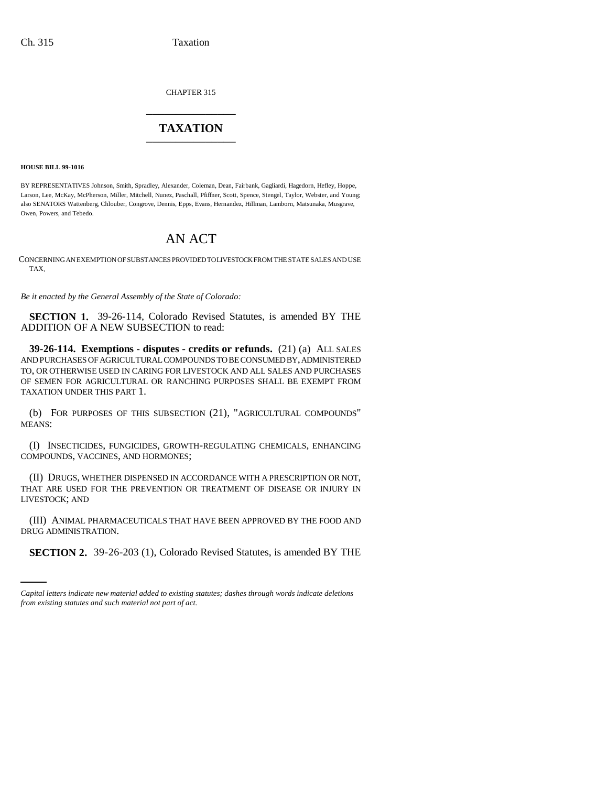CHAPTER 315 \_\_\_\_\_\_\_\_\_\_\_\_\_\_\_

## **TAXATION** \_\_\_\_\_\_\_\_\_\_\_\_\_\_\_

**HOUSE BILL 99-1016** 

BY REPRESENTATIVES Johnson, Smith, Spradley, Alexander, Coleman, Dean, Fairbank, Gagliardi, Hagedorn, Hefley, Hoppe, Larson, Lee, McKay, McPherson, Miller, Mitchell, Nunez, Paschall, Pfiffner, Scott, Spence, Stengel, Taylor, Webster, and Young; also SENATORS Wattenberg, Chlouber, Congrove, Dennis, Epps, Evans, Hernandez, Hillman, Lamborn, Matsunaka, Musgrave, Owen, Powers, and Tebedo.

## AN ACT

CONCERNING AN EXEMPTION OF SUBSTANCES PROVIDED TO LIVESTOCK FROM THE STATE SALES AND USE TAX.

*Be it enacted by the General Assembly of the State of Colorado:*

**SECTION 1.** 39-26-114, Colorado Revised Statutes, is amended BY THE ADDITION OF A NEW SUBSECTION to read:

**39-26-114. Exemptions - disputes - credits or refunds.** (21) (a) ALL SALES AND PURCHASES OF AGRICULTURAL COMPOUNDS TO BE CONSUMED BY, ADMINISTERED TO, OR OTHERWISE USED IN CARING FOR LIVESTOCK AND ALL SALES AND PURCHASES OF SEMEN FOR AGRICULTURAL OR RANCHING PURPOSES SHALL BE EXEMPT FROM TAXATION UNDER THIS PART 1.

(b) FOR PURPOSES OF THIS SUBSECTION (21), "AGRICULTURAL COMPOUNDS" MEANS:

(I) INSECTICIDES, FUNGICIDES, GROWTH-REGULATING CHEMICALS, ENHANCING COMPOUNDS, VACCINES, AND HORMONES;

(II) DRUGS, WHETHER DISPENSED IN ACCORDANCE WITH A PRESCRIPTION OR NOT, THAT ARE USED FOR THE PREVENTION OR TREATMENT OF DISEASE OR INJURY IN LIVESTOCK; AND

DRUG ADMINISTRATION. (III) ANIMAL PHARMACEUTICALS THAT HAVE BEEN APPROVED BY THE FOOD AND

**SECTION 2.** 39-26-203 (1), Colorado Revised Statutes, is amended BY THE

*Capital letters indicate new material added to existing statutes; dashes through words indicate deletions from existing statutes and such material not part of act.*